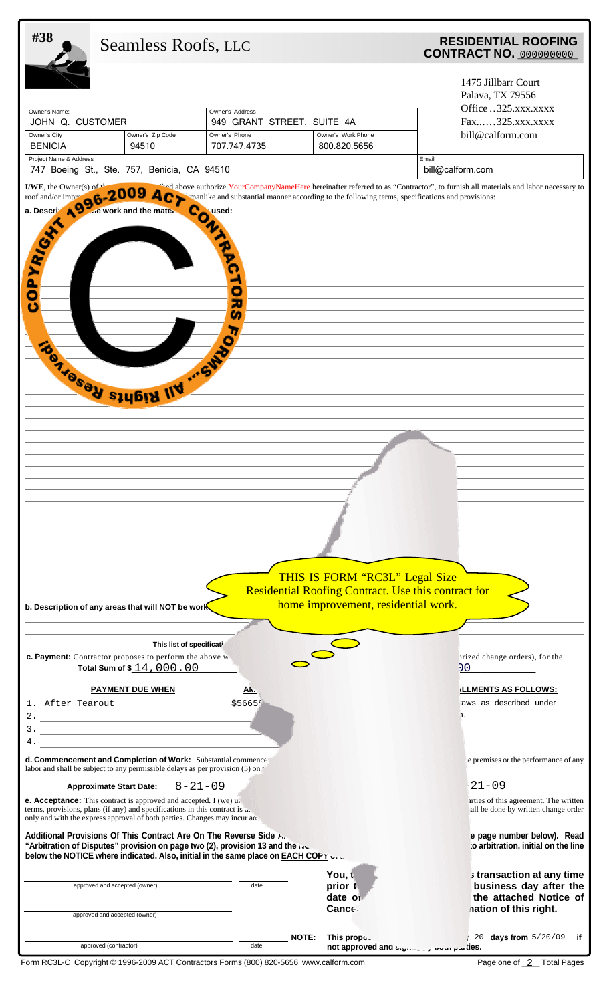| #38                                                                                                                                                                                                                                                                                                         | Seamless Roofs, LLC                                                                                                                             |                                                                                |                                                                                                                              | <b>RESIDENTIAL ROOFING</b><br><b>CONTRACT NO. 000000000</b>                                                                     |  |
|-------------------------------------------------------------------------------------------------------------------------------------------------------------------------------------------------------------------------------------------------------------------------------------------------------------|-------------------------------------------------------------------------------------------------------------------------------------------------|--------------------------------------------------------------------------------|------------------------------------------------------------------------------------------------------------------------------|---------------------------------------------------------------------------------------------------------------------------------|--|
| Owner's Name:<br>JOHN Q. CUSTOMER<br>Owner's City<br><b>BENICIA</b>                                                                                                                                                                                                                                         | Owner's Zip Code<br>94510                                                                                                                       | Owner's Address<br>949 GRANT STREET, SUITE 4A<br>Owner's Phone<br>707.747.4735 | Owner's Work Phone<br>800.820.5656                                                                                           | 1475 Jillbarr Court<br>Palava, TX 79556<br>Office325.xxx.xxxx<br>Fax325.xxx.xxxx<br>bill@calform.com                            |  |
| Project Name & Address                                                                                                                                                                                                                                                                                      | 747 Boeing St., Ste. 757, Benicia, CA 94510                                                                                                     |                                                                                |                                                                                                                              | Email<br>bill@calform.com                                                                                                       |  |
| I/WE, the Owner(s) of<br>roof and/or impr<br>1996-2                                                                                                                                                                                                                                                         |                                                                                                                                                 |                                                                                | manlike and substantial manner according to the following terms, specifications and provisions:                              | ad above authorize YourCompanyNameHere hereinafter referred to as "Contractor", to furnish all materials and labor necessary to |  |
| PYRIGHT<br>٥<br>ပ                                                                                                                                                                                                                                                                                           | <b>Co</b><br>TOUT THEIR IIV  SWY                                                                                                                | v<br>G<br>m,<br>c<br>20<br>n<br>7,                                             |                                                                                                                              |                                                                                                                                 |  |
|                                                                                                                                                                                                                                                                                                             | b. Description of any areas that will NOT be work                                                                                               |                                                                                | THIS IS FORM "RC3L" Legal Size<br>Residential Roofing Contract. Use this contract for<br>home improvement, residential work. |                                                                                                                                 |  |
|                                                                                                                                                                                                                                                                                                             | This list of specificati                                                                                                                        |                                                                                |                                                                                                                              |                                                                                                                                 |  |
|                                                                                                                                                                                                                                                                                                             | c. Payment: Contractor proposes to perform the above w<br>Total Sum of \$14,000.00                                                              |                                                                                |                                                                                                                              | prized change orders), for the<br>00                                                                                            |  |
|                                                                                                                                                                                                                                                                                                             | <b>PAYMENT DUE WHEN</b>                                                                                                                         | <u>Alv. </u>                                                                   |                                                                                                                              | LLLMENTS AS FOLLOWS:                                                                                                            |  |
| 1. After Tearout<br>4.                                                                                                                                                                                                                                                                                      | 2.2                                                                                                                                             | \$56659                                                                        |                                                                                                                              | raws as described under<br>1.                                                                                                   |  |
|                                                                                                                                                                                                                                                                                                             | d. Commencement and Completion of Work: Substantial commence.<br>labor and shall be subject to any permissible delays as per provision (5) on " |                                                                                |                                                                                                                              | e premises or the performance of any                                                                                            |  |
| $8 - 21 - 09$<br><b>Approximate Start Date:</b>                                                                                                                                                                                                                                                             |                                                                                                                                                 |                                                                                |                                                                                                                              | $21 - 09$                                                                                                                       |  |
| <b>e. Acceptance:</b> This contract is approved and accepted. I (we) u.<br>terms, provisions, plans (if any) and specifications in this contract is $\mathbf{u}$ .<br>only and with the express approval of both parties. Changes may incur ad-                                                             |                                                                                                                                                 |                                                                                |                                                                                                                              | arties of this agreement. The written<br>all be done by written change order                                                    |  |
| Additional Provisions Of This Contract Are On The Reverse Side A<br>e page number below). Read<br>"Arbitration of Disputes" provision on page two (2), provision 13 and the nu-<br>to arbitration, initial on the line<br>below the NOTICE where indicated. Also, initial in the same place on EACH COPY U. |                                                                                                                                                 |                                                                                |                                                                                                                              |                                                                                                                                 |  |
|                                                                                                                                                                                                                                                                                                             | approved and accepted (owner)<br>approved and accepted (owner)                                                                                  | date                                                                           | You, t<br>prior t<br>date of<br>Cance∈                                                                                       | s transaction at any time<br>business day after the<br>the attached Notice of<br>nation of this right.                          |  |
|                                                                                                                                                                                                                                                                                                             | approved (contractor)                                                                                                                           | date                                                                           | NOTE:<br>This propose.                                                                                                       | 20 days from 5/20/09 if<br>not approved and Signon by Dour parties.                                                             |  |

Form RC3L-C Copyright © 1996-2009 ACT Contractors Forms (800) 820-5656 www.calform.com

Page one of 2 Total Pages